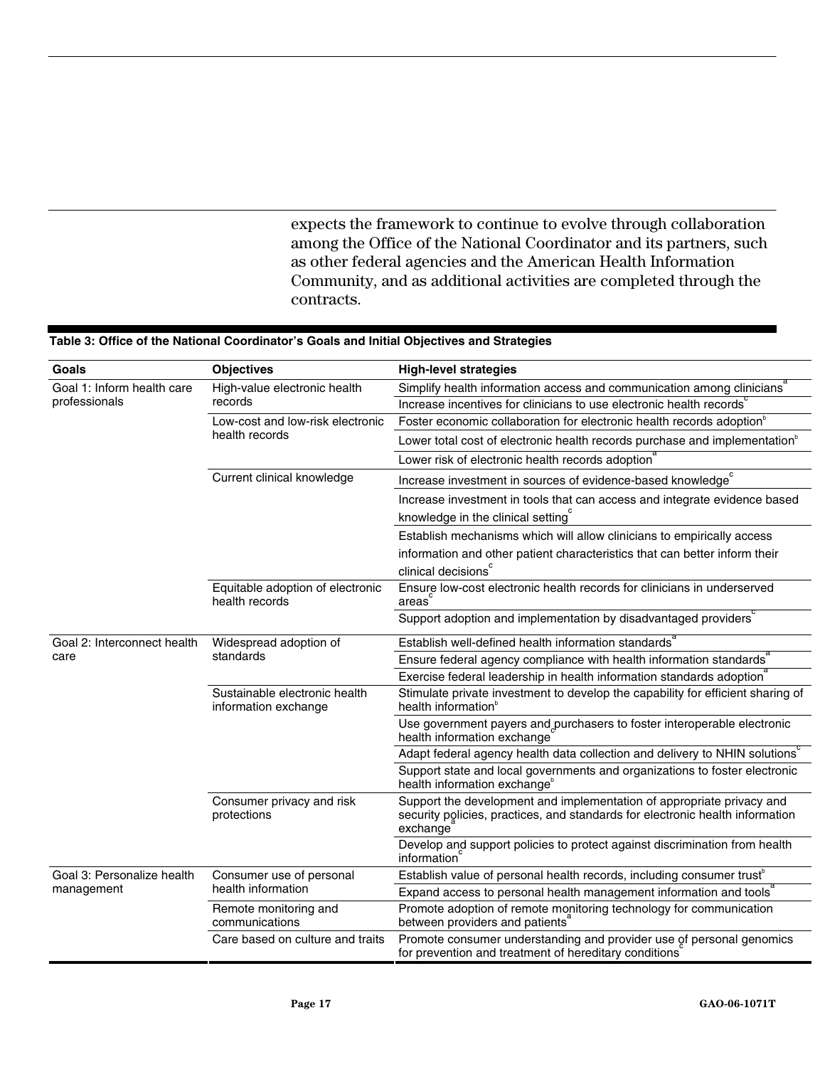## **Coals Completives Constanting Complete High-level** strategies High-value electronic health Simplify health information access and communication among clinicians Increase incentives for clinicians to use electronic health records Foster economic collaboration for electronic health records adoption<sup>b</sup> Lower total cost of electronic health records purchase and implementation<sup>b</sup> Low-cost and low-risk electronic health records Lower risk of electronic health records adoption Increase investment in sources of evidence-based knowledge Increase investment in tools that can access and integrate evidence based knowledge in the clinical setting $\degree$ Current clinical knowledge Establish mechanisms which will allow clinicians to empirically access information and other patient characteristics that can better inform their clinical decisions<sup>c</sup> Ensure low-cost electronic health records for clinicians in underserved areas Goal 1: Inform health care professionals Equitable adoption of electronic health records Support adoption and implementation by disadvantaged providers Establish well-defined health information standards Ensure federal agency compliance with health information standards<sup>®</sup> Widespread adoption of standards Exercise federal leadership in health information standards adoption Stimulate private investment to develop the capability for efficient sharing of health information $^{\circ}$ Use government payers and purchasers to foster interoperable electronic health information exchange Adapt federal agency health data collection and delivery to NHIN solutions Sustainable electronic health information exchange Support state and local governments and organizations to foster electronic health information exchange<sup>b</sup> Support the development and implementation of appropriate privacy and security policies, practices, and standards for electronic health information exchange Goal 2: Interconnect health care Consumer privacy and risk protections Develop and support policies to protect against discrimination from health information Establish value of personal health records, including consumer trust<sup>b</sup> Consumer use of personal health information **Expand access to personal health management information and tools**<sup>8</sup> Remote monitoring and communications Promote adoption of remote monitoring technology for communication between providers and patients Goal 3: Personalize health management Care based on culture and traits Promote consumer understanding and provider use of personal genomics for prevention and treatment of hereditary conditions

## **Table 3: Office of the National Coordinator's Goals and Initial Objectives and Strategies**